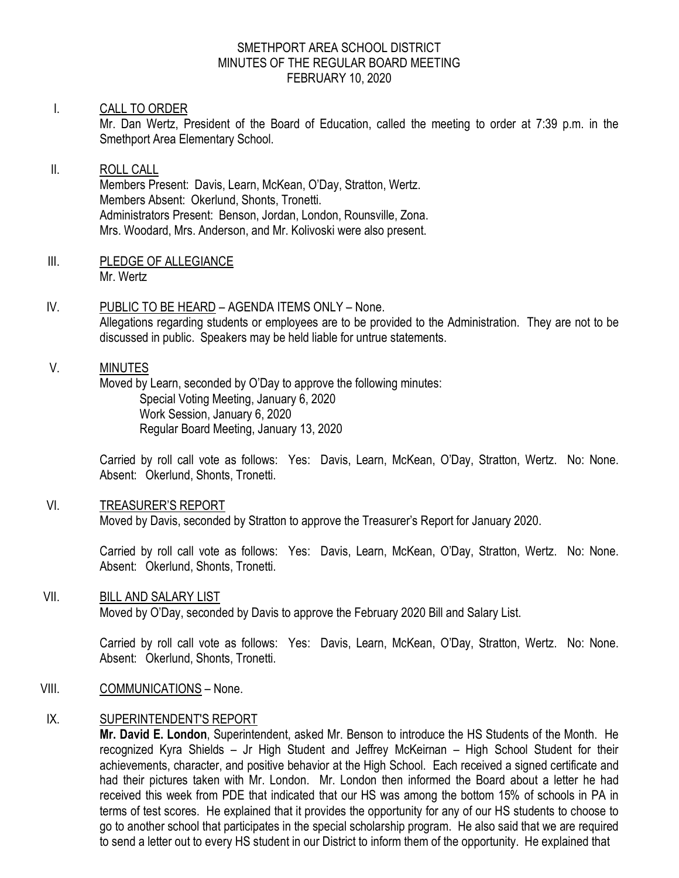#### SMETHPORT AREA SCHOOL DISTRICT MINUTES OF THE REGULAR BOARD MEETING FEBRUARY 10, 2020

#### I. CALL TO ORDER

Mr. Dan Wertz, President of the Board of Education, called the meeting to order at 7:39 p.m. in the Smethport Area Elementary School.

### II. ROLL CALL Members Present: Davis, Learn, McKean, O'Day, Stratton, Wertz. Members Absent: Okerlund, Shonts, Tronetti. Administrators Present: Benson, Jordan, London, Rounsville, Zona. Mrs. Woodard, Mrs. Anderson, and Mr. Kolivoski were also present.

- III. PLEDGE OF ALLEGIANCE Mr. Wertz
- IV. PUBLIC TO BE HEARD AGENDA ITEMS ONLY None. Allegations regarding students or employees are to be provided to the Administration. They are not to be discussed in public. Speakers may be held liable for untrue statements.

### V. MINUTES

Moved by Learn, seconded by O'Day to approve the following minutes: Special Voting Meeting, January 6, 2020 Work Session, January 6, 2020 Regular Board Meeting, January 13, 2020

Carried by roll call vote as follows: Yes: Davis, Learn, McKean, O'Day, Stratton, Wertz. No: None. Absent: Okerlund, Shonts, Tronetti.

#### VI. TREASURER'S REPORT

Moved by Davis, seconded by Stratton to approve the Treasurer's Report for January 2020.

Carried by roll call vote as follows: Yes: Davis, Learn, McKean, O'Day, Stratton, Wertz. No: None. Absent: Okerlund, Shonts, Tronetti.

#### VII. BILL AND SALARY LIST

Moved by O'Day, seconded by Davis to approve the February 2020 Bill and Salary List.

Carried by roll call vote as follows: Yes: Davis, Learn, McKean, O'Day, Stratton, Wertz. No: None. Absent: Okerlund, Shonts, Tronetti.

VIII. COMMUNICATIONS – None.

### IX. SUPERINTENDENT'S REPORT

**Mr. David E. London**, Superintendent, asked Mr. Benson to introduce the HS Students of the Month. He recognized Kyra Shields – Jr High Student and Jeffrey McKeirnan – High School Student for their achievements, character, and positive behavior at the High School. Each received a signed certificate and had their pictures taken with Mr. London. Mr. London then informed the Board about a letter he had received this week from PDE that indicated that our HS was among the bottom 15% of schools in PA in terms of test scores. He explained that it provides the opportunity for any of our HS students to choose to go to another school that participates in the special scholarship program. He also said that we are required to send a letter out to every HS student in our District to inform them of the opportunity. He explained that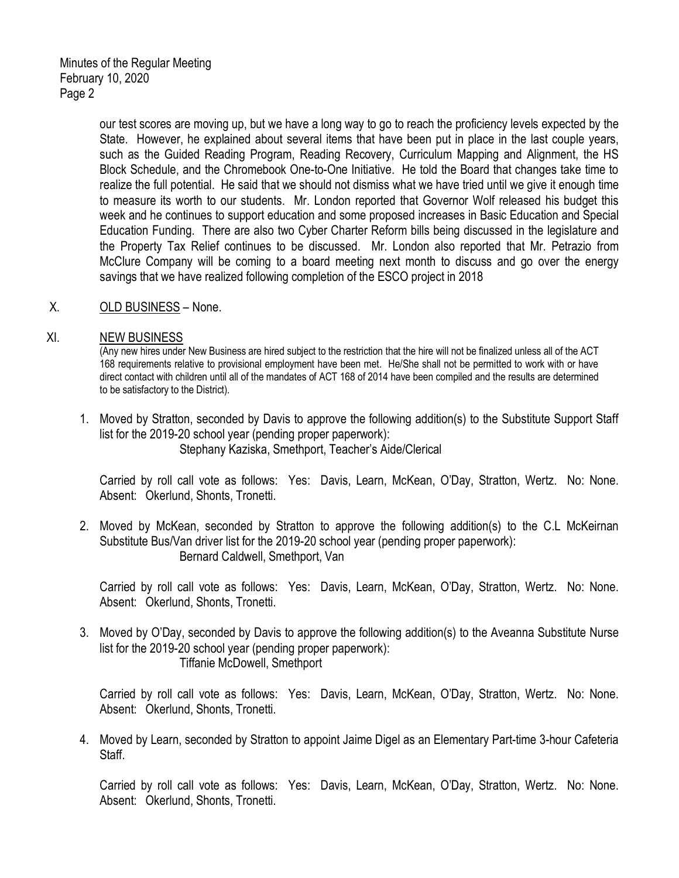our test scores are moving up, but we have a long way to go to reach the proficiency levels expected by the State. However, he explained about several items that have been put in place in the last couple years, such as the Guided Reading Program, Reading Recovery, Curriculum Mapping and Alignment, the HS Block Schedule, and the Chromebook One-to-One Initiative. He told the Board that changes take time to realize the full potential. He said that we should not dismiss what we have tried until we give it enough time to measure its worth to our students. Mr. London reported that Governor Wolf released his budget this week and he continues to support education and some proposed increases in Basic Education and Special Education Funding. There are also two Cyber Charter Reform bills being discussed in the legislature and the Property Tax Relief continues to be discussed. Mr. London also reported that Mr. Petrazio from McClure Company will be coming to a board meeting next month to discuss and go over the energy savings that we have realized following completion of the ESCO project in 2018

X. OLD BUSINESS – None.

#### XI. NEW BUSINESS

(Any new hires under New Business are hired subject to the restriction that the hire will not be finalized unless all of the ACT 168 requirements relative to provisional employment have been met. He/She shall not be permitted to work with or have direct contact with children until all of the mandates of ACT 168 of 2014 have been compiled and the results are determined to be satisfactory to the District).

1. Moved by Stratton, seconded by Davis to approve the following addition(s) to the Substitute Support Staff list for the 2019-20 school year (pending proper paperwork): Stephany Kaziska, Smethport, Teacher's Aide/Clerical

Carried by roll call vote as follows: Yes: Davis, Learn, McKean, O'Day, Stratton, Wertz. No: None. Absent: Okerlund, Shonts, Tronetti.

2. Moved by McKean, seconded by Stratton to approve the following addition(s) to the C.L McKeirnan Substitute Bus/Van driver list for the 2019-20 school year (pending proper paperwork): Bernard Caldwell, Smethport, Van

Carried by roll call vote as follows: Yes: Davis, Learn, McKean, O'Day, Stratton, Wertz. No: None. Absent: Okerlund, Shonts, Tronetti.

3. Moved by O'Day, seconded by Davis to approve the following addition(s) to the Aveanna Substitute Nurse list for the 2019-20 school year (pending proper paperwork): Tiffanie McDowell, Smethport

Carried by roll call vote as follows: Yes: Davis, Learn, McKean, O'Day, Stratton, Wertz. No: None. Absent: Okerlund, Shonts, Tronetti.

4. Moved by Learn, seconded by Stratton to appoint Jaime Digel as an Elementary Part-time 3-hour Cafeteria Staff.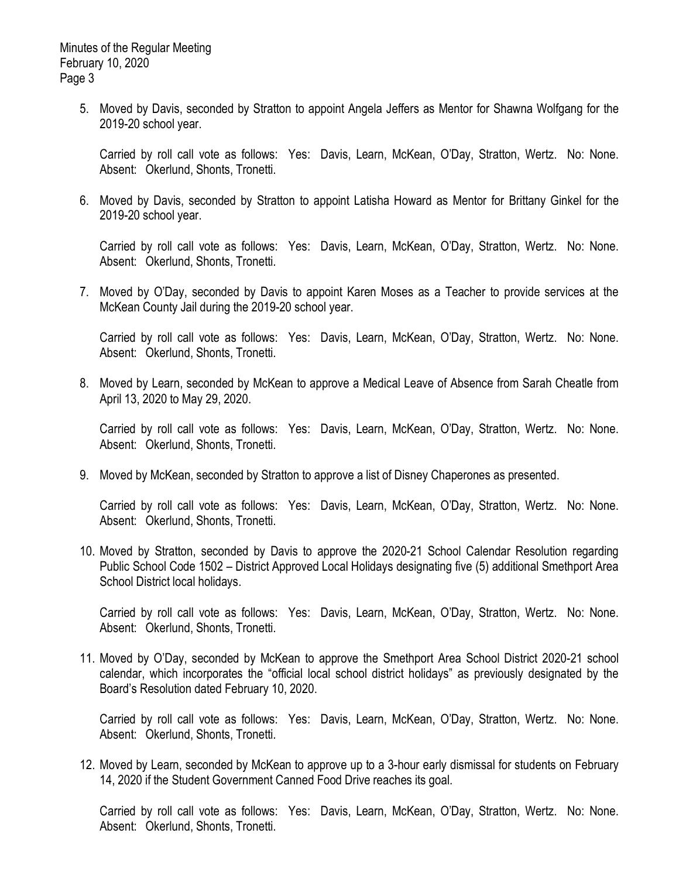5. Moved by Davis, seconded by Stratton to appoint Angela Jeffers as Mentor for Shawna Wolfgang for the 2019-20 school year.

Carried by roll call vote as follows: Yes: Davis, Learn, McKean, O'Day, Stratton, Wertz. No: None. Absent: Okerlund, Shonts, Tronetti.

6. Moved by Davis, seconded by Stratton to appoint Latisha Howard as Mentor for Brittany Ginkel for the 2019-20 school year.

Carried by roll call vote as follows: Yes: Davis, Learn, McKean, O'Day, Stratton, Wertz. No: None. Absent: Okerlund, Shonts, Tronetti.

7. Moved by O'Day, seconded by Davis to appoint Karen Moses as a Teacher to provide services at the McKean County Jail during the 2019-20 school year.

Carried by roll call vote as follows: Yes: Davis, Learn, McKean, O'Day, Stratton, Wertz. No: None. Absent: Okerlund, Shonts, Tronetti.

8. Moved by Learn, seconded by McKean to approve a Medical Leave of Absence from Sarah Cheatle from April 13, 2020 to May 29, 2020.

Carried by roll call vote as follows: Yes: Davis, Learn, McKean, O'Day, Stratton, Wertz. No: None. Absent: Okerlund, Shonts, Tronetti.

9. Moved by McKean, seconded by Stratton to approve a list of Disney Chaperones as presented.

Carried by roll call vote as follows: Yes: Davis, Learn, McKean, O'Day, Stratton, Wertz. No: None. Absent: Okerlund, Shonts, Tronetti,

10. Moved by Stratton, seconded by Davis to approve the 2020-21 School Calendar Resolution regarding Public School Code 1502 – District Approved Local Holidays designating five (5) additional Smethport Area School District local holidays.

Carried by roll call vote as follows: Yes: Davis, Learn, McKean, O'Day, Stratton, Wertz. No: None. Absent: Okerlund, Shonts, Tronetti.

11. Moved by O'Day, seconded by McKean to approve the Smethport Area School District 2020-21 school calendar, which incorporates the "official local school district holidays" as previously designated by the Board's Resolution dated February 10, 2020.

Carried by roll call vote as follows: Yes: Davis, Learn, McKean, O'Day, Stratton, Wertz. No: None. Absent: Okerlund, Shonts, Tronetti.

12. Moved by Learn, seconded by McKean to approve up to a 3-hour early dismissal for students on February 14, 2020 if the Student Government Canned Food Drive reaches its goal.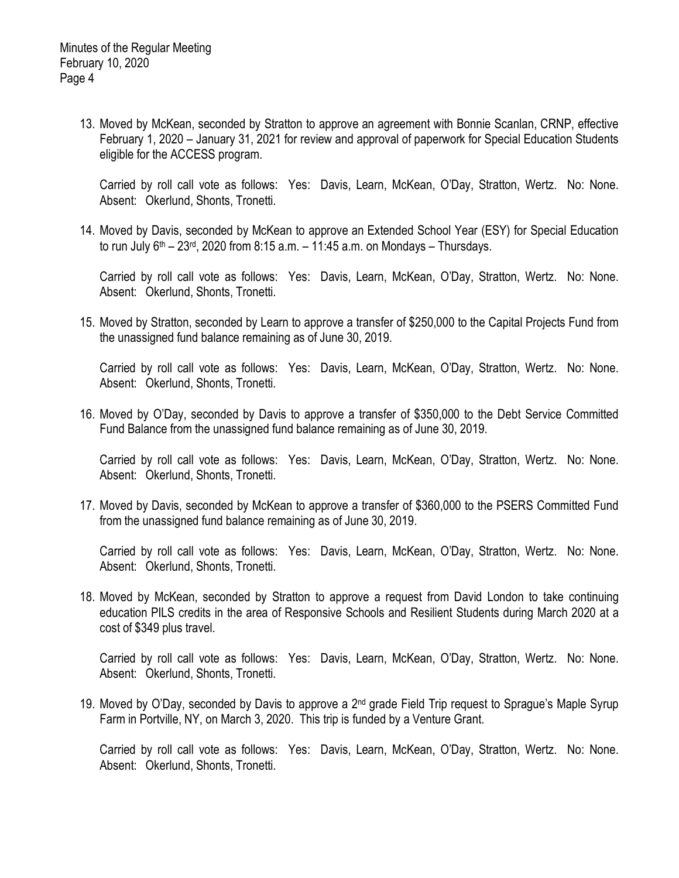13. Moved by McKean, seconded by Stratton to approve an agreement with Bonnie Scanlan, CRNP, effective February 1, 2020 – January 31, 2021 for review and approval of paperwork for Special Education Students eligible for the ACCESS program.

Carried by roll call vote as follows: Yes: Davis, Learn, McKean, O'Day, Stratton, Wertz. No: None. Absent: Okerlund, Shonts, Tronetti.

14. Moved by Davis, seconded by McKean to approve an Extended School Year (ESY) for Special Education to run July  $6<sup>th</sup> - 23<sup>rd</sup>$ , 2020 from 8:15 a.m. – 11:45 a.m. on Mondays – Thursdays.

Carried by roll call vote as follows: Yes: Davis, Learn, McKean, O'Day, Stratton, Wertz. No: None. Absent: Okerlund, Shonts, Tronetti.

15. Moved by Stratton, seconded by Learn to approve a transfer of \$250,000 to the Capital Projects Fund from the unassigned fund balance remaining as of June 30, 2019.

Carried by roll call vote as follows: Yes: Davis, Learn, McKean, O'Day, Stratton, Wertz. No: None. Absent: Okerlund, Shonts, Tronetti.

16. Moved by O'Day, seconded by Davis to approve a transfer of \$350,000 to the Debt Service Committed Fund Balance from the unassigned fund balance remaining as of June 30, 2019.

Carried by roll call vote as follows: Yes: Davis, Learn, McKean, O'Day, Stratton, Wertz. No: None. Absent: Okerlund, Shonts, Tronetti.

17. Moved by Davis, seconded by McKean to approve a transfer of \$360,000 to the PSERS Committed Fund from the unassigned fund balance remaining as of June 30, 2019.

Carried by roll call vote as follows: Yes: Davis, Learn, McKean, O'Day, Stratton, Wertz. No: None. Absent: Okerlund, Shonts, Tronetti.

18. Moved by McKean, seconded by Stratton to approve a request from David London to take continuing education PILS credits in the area of Responsive Schools and Resilient Students during March 2020 at a cost of \$349 plus travel.

Carried by roll call vote as follows: Yes: Davis, Learn, McKean, O'Day, Stratton, Wertz. No: None. Absent: Okerlund, Shonts, Tronetti.

19. Moved by O'Day, seconded by Davis to approve a 2<sup>nd</sup> grade Field Trip request to Sprague's Maple Syrup Farm in Portville, NY, on March 3, 2020. This trip is funded by a Venture Grant.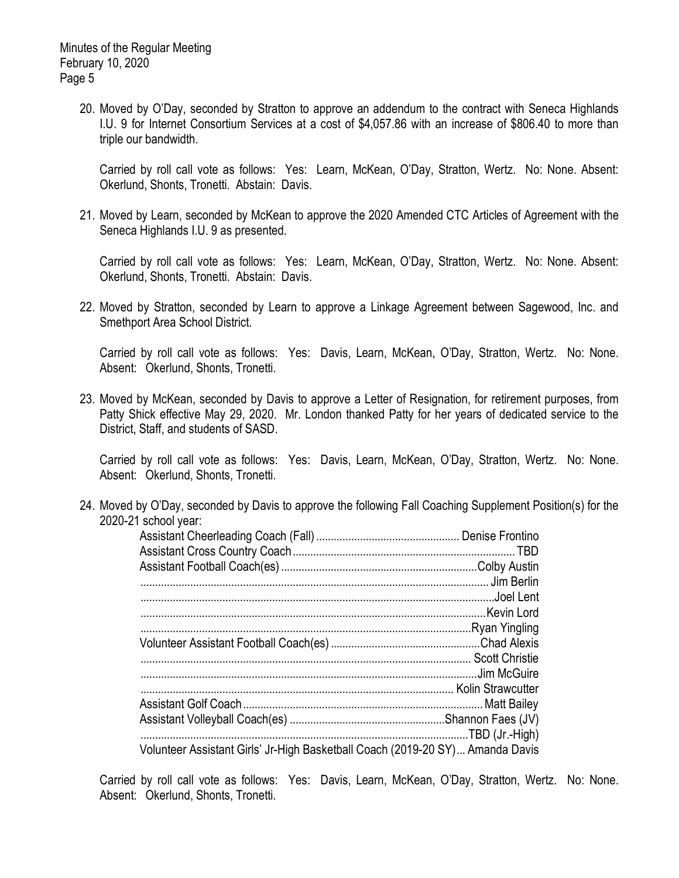Minutes of the Regular Meeting February 10, 2020 Page 5

> 20. Moved by O'Day, seconded by Stratton to approve an addendum to the contract with Seneca Highlands I.U. 9 for Internet Consortium Services at a cost of \$4,057.86 with an increase of \$806.40 to more than triple our bandwidth.

Carried by roll call vote as follows: Yes: Learn, McKean, O'Day, Stratton, Wertz. No: None. Absent: Okerlund, Shonts, Tronetti. Abstain: Davis.

21. Moved by Learn, seconded by McKean to approve the 2020 Amended CTC Articles of Agreement with the Seneca Highlands I.U. 9 as presented.

Carried by roll call vote as follows: Yes: Learn, McKean, O'Day, Stratton, Wertz. No: None. Absent: Okerlund, Shonts, Tronetti. Abstain: Davis.

22. Moved by Stratton, seconded by Learn to approve a Linkage Agreement between Sagewood, Inc. and Smethport Area School District.

Carried by roll call vote as follows: Yes: Davis, Learn, McKean, O'Day, Stratton, Wertz. No: None. Absent: Okerlund, Shonts, Tronetti.

23. Moved by McKean, seconded by Davis to approve a Letter of Resignation, for retirement purposes, from Patty Shick effective May 29, 2020. Mr. London thanked Patty for her years of dedicated service to the District, Staff, and students of SASD.

Carried by roll call vote as follows: Yes: Davis, Learn, McKean, O'Day, Stratton, Wertz. No: None. Absent: Okerlund, Shonts, Tronetti.

24. Moved by O'Day, seconded by Davis to approve the following Fall Coaching Supplement Position(s) for the 2020-21 school year:

| Volunteer Assistant Girls' Jr-High Basketball Coach (2019-20 SY) Amanda Davis |  |
|-------------------------------------------------------------------------------|--|